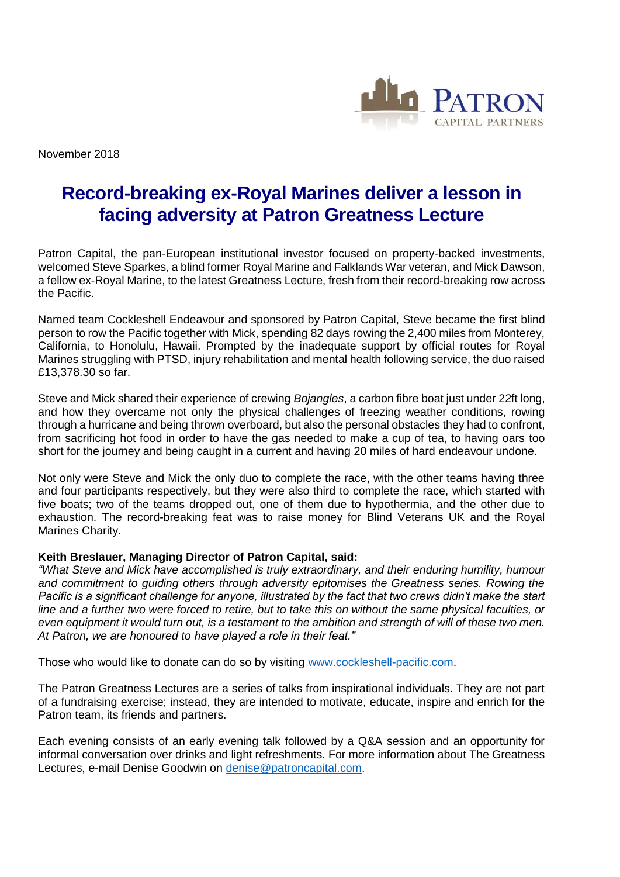

November 2018

# **Record-breaking ex-Royal Marines deliver a lesson in facing adversity at Patron Greatness Lecture**

Patron Capital, the pan-European institutional investor focused on property-backed investments, welcomed Steve Sparkes, a blind former Royal Marine and Falklands War veteran, and Mick Dawson, a fellow ex-Royal Marine, to the latest Greatness Lecture, fresh from their record-breaking row across the Pacific.

Named team Cockleshell Endeavour and sponsored by Patron Capital, Steve became the first blind person to row the Pacific together with Mick, spending 82 days rowing the 2,400 miles from Monterey, California, to Honolulu, Hawaii. Prompted by the inadequate support by official routes for Royal Marines struggling with PTSD, injury rehabilitation and mental health following service, the duo raised £13,378.30 so far.

Steve and Mick shared their experience of crewing *Bojangles*, a carbon fibre boat just under 22ft long, and how they overcame not only the physical challenges of freezing weather conditions, rowing through a hurricane and being thrown overboard, but also the personal obstacles they had to confront, from sacrificing hot food in order to have the gas needed to make a cup of tea, to having oars too short for the journey and being caught in a current and having 20 miles of hard endeavour undone.

Not only were Steve and Mick the only duo to complete the race, with the other teams having three and four participants respectively, but they were also third to complete the race, which started with five boats; two of the teams dropped out, one of them due to hypothermia, and the other due to exhaustion. The record-breaking feat was to raise money for Blind Veterans UK and the Royal Marines Charity.

## **Keith Breslauer, Managing Director of Patron Capital, said:**

*"What Steve and Mick have accomplished is truly extraordinary, and their enduring humility, humour and commitment to guiding others through adversity epitomises the Greatness series. Rowing the Pacific is a significant challenge for anyone, illustrated by the fact that two crews didn't make the start line and a further two were forced to retire, but to take this on without the same physical faculties, or even equipment it would turn out, is a testament to the ambition and strength of will of these two men. At Patron, we are honoured to have played a role in their feat."*

Those who would like to donate can do so by visiting [www.cockleshell-pacific.com.](http://www.cockleshell-pacific.com/)

The Patron Greatness Lectures are a series of talks from inspirational individuals. They are not part of a fundraising exercise; instead, they are intended to motivate, educate, inspire and enrich for the Patron team, its friends and partners.

Each evening consists of an early evening talk followed by a Q&A session and an opportunity for informal conversation over drinks and light refreshments. For more information about The Greatness Lectures, e-mail Denise Goodwin on [denise@patroncapital.com.](mailto:denise@patroncapital.com)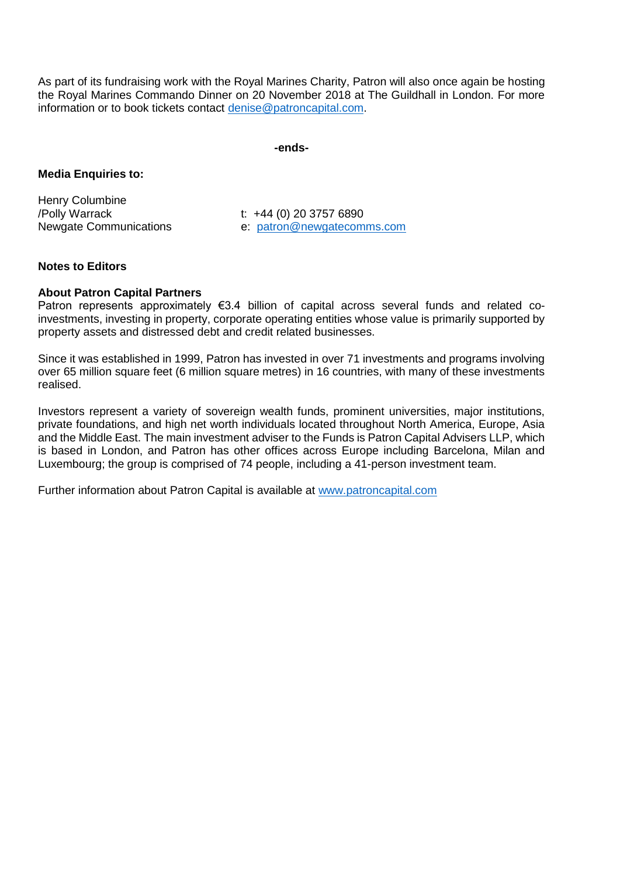As part of its fundraising work with the Royal Marines Charity, Patron will also once again be hosting the Royal Marines Commando Dinner on 20 November 2018 at The Guildhall in London. For more information or to book tickets contact [denise@patroncapital.com.](mailto:denise@patroncapital.com)

#### **-ends-**

### **Media Enquiries to:**

Henry Columbine /Polly Warrack t: +44 (0) 20 3757 6890

Newgate Communications e: [patron@newgatecomms.com](mailto:patron@newgatecomms.com)

### **Notes to Editors**

### **About Patron Capital Partners**

Patron represents approximately  $\epsilon$ 3.4 billion of capital across several funds and related coinvestments, investing in property, corporate operating entities whose value is primarily supported by property assets and distressed debt and credit related businesses.

Since it was established in 1999, Patron has invested in over 71 investments and programs involving over 65 million square feet (6 million square metres) in 16 countries, with many of these investments realised.

Investors represent a variety of sovereign wealth funds, prominent universities, major institutions, private foundations, and high net worth individuals located throughout North America, Europe, Asia and the Middle East. The main investment adviser to the Funds is Patron Capital Advisers LLP, which is based in London, and Patron has other offices across Europe including Barcelona, Milan and Luxembourg; the group is comprised of 74 people, including a 41-person investment team.

Further information about Patron Capital is available at [www.patroncapital.com](http://www.patroncapital.com/)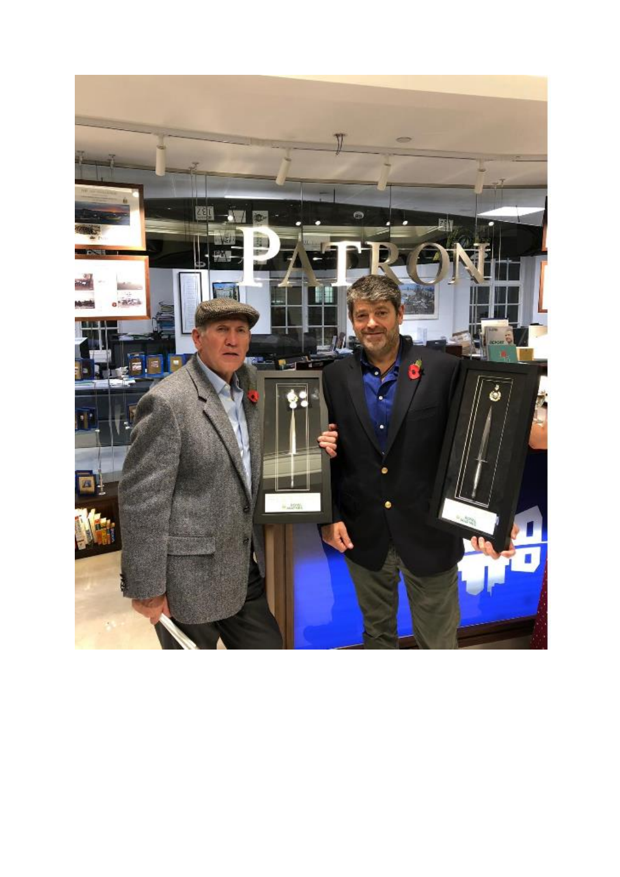